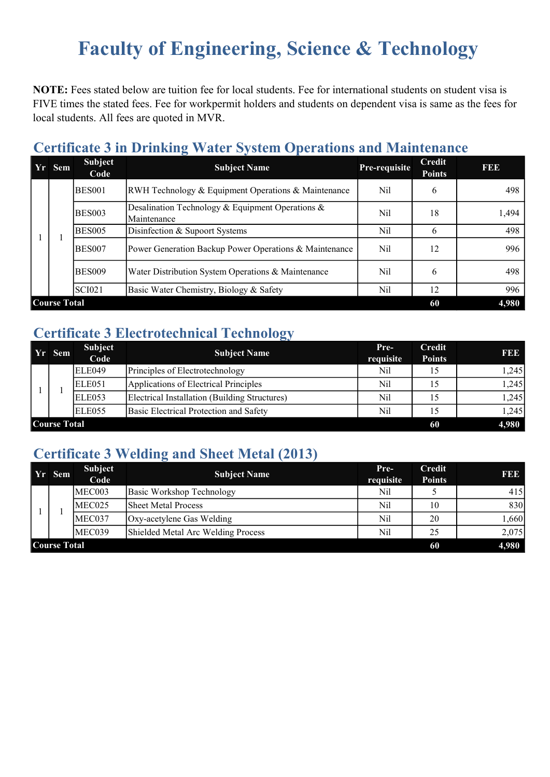# Faculty of Engineering, Science & Technology

NOTE: Fees stated below are tuition fee for local students. Fee for international students on student visa is FIVE times the stated fees. Fee for workpermit holders and students on dependent visa is same as the fees for local students. All fees are quoted in MVR.

#### Certificate 3 in Drinking Water System Operations and Maintenance

|  | Yr Sem | <b>Subject</b><br>Code | <b>Subject Name</b>                                             | Pre-requisite | Credit<br><b>Points</b> | FEE   |  |  |  |  |  |
|--|--------|------------------------|-----------------------------------------------------------------|---------------|-------------------------|-------|--|--|--|--|--|
|  |        | <b>BES001</b>          | RWH Technology & Equipment Operations & Maintenance             | Nil           | <sub>0</sub>            | 498   |  |  |  |  |  |
|  |        | <b>BES003</b>          | Desalination Technology & Equipment Operations &<br>Maintenance | Nil           | 18                      | 1,494 |  |  |  |  |  |
|  |        | BES005                 | Disinfection & Supoort Systems                                  | Nil           | 6                       | 498   |  |  |  |  |  |
|  |        | BES007                 | Power Generation Backup Power Operations & Maintenance          | Nil           | 12                      | 996   |  |  |  |  |  |
|  |        | BES009                 | Water Distribution System Operations & Maintenance              | Nil           | 6                       | 498   |  |  |  |  |  |
|  |        | <b>SCI021</b>          | Basic Water Chemistry, Biology & Safety                         | Nil           | 12                      | 996   |  |  |  |  |  |
|  |        |                        | <b>Course Total</b><br>4,980<br>60                              |               |                         |       |  |  |  |  |  |

#### Certificate 3 Electrotechnical Technology

| Yr Sem                    | <b>Subject</b><br>Code | <b>Subject Name</b>                           | Pre-<br>requisite | Credit<br><b>Points</b> | <b>REE</b> |
|---------------------------|------------------------|-----------------------------------------------|-------------------|-------------------------|------------|
|                           | ELE049                 | Principles of Electrotechnology               | Nil               |                         | 1,245      |
|                           | ELE <sub>051</sub>     | Applications of Electrical Principles         | Nil               |                         | 1,245      |
|                           | <b>ELE053</b>          | Electrical Installation (Building Structures) | Nil               |                         | 1,245      |
|                           | ELE <sub>055</sub>     | Basic Electrical Protection and Safety        | Nil               |                         | 1.2451     |
| <b>Course Total</b><br>60 |                        |                                               |                   |                         |            |

### Certificate 3 Welding and Sheet Metal (2013)

| Yr Sem              | <b>Subject</b><br>Code | <b>Subject Name</b>                | $Pre-$<br>requisite | Credit<br><b>Points</b> | <b>BBB</b> |
|---------------------|------------------------|------------------------------------|---------------------|-------------------------|------------|
|                     | MEC003                 | Basic Workshop Technology          | Nil                 |                         | 415        |
|                     | MEC025                 | <b>Sheet Metal Process</b>         | Nil                 | 10                      | 830        |
|                     | MEC037                 | Oxy-acetylene Gas Welding          | Nil                 | 20                      | 1.660      |
|                     | MEC039                 | Shielded Metal Arc Welding Process | Nil                 | 25                      | 2,075      |
| <b>Course Total</b> | 60                     | 4,980                              |                     |                         |            |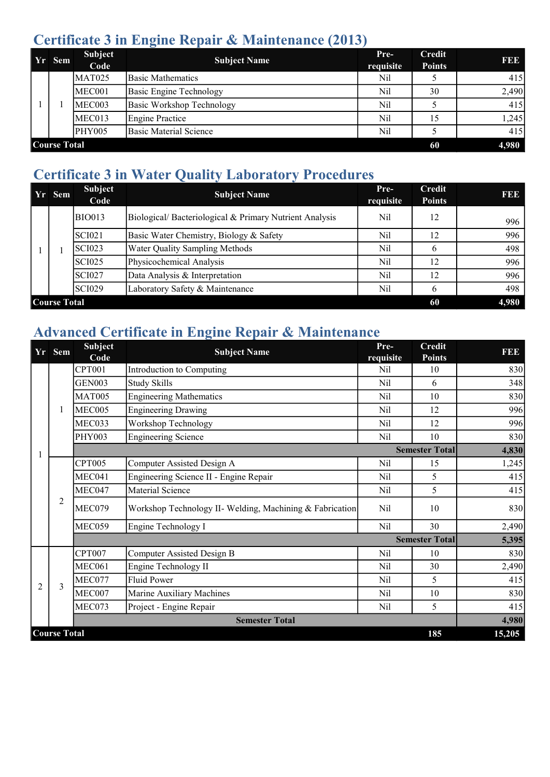### Certificate 3 in Engine Repair & Maintenance (2013)

|                                    | Yr Sem | <b>Subject</b><br>Code | <b>Subject Name</b>       | Pre-<br>requisite | <b>Credit</b><br><b>Points</b> | FEE   |  |
|------------------------------------|--------|------------------------|---------------------------|-------------------|--------------------------------|-------|--|
|                                    |        | MAT025                 | <b>Basic Mathematics</b>  | Nil               |                                | 415   |  |
|                                    |        | MEC001                 | Basic Engine Technology   | Nil               | 30                             | 2,490 |  |
|                                    |        | MEC003                 | Basic Workshop Technology | Nil               |                                | 415   |  |
|                                    |        | MEC013                 | Engine Practice           | Nil               | 15                             | 1,245 |  |
|                                    |        | <b>PHY005</b>          | Basic Material Science    | Nil               |                                | 415   |  |
| <b>Course Total</b><br>4,980<br>60 |        |                        |                           |                   |                                |       |  |

### Certificate 3 in Water Quality Laboratory Procedures

| Yr Sem                             | Subject<br>Code | <b>Subject Name</b>                                    | Pre-<br>requisite | Credit<br><b>Points</b> | 1993 |  |  |  |
|------------------------------------|-----------------|--------------------------------------------------------|-------------------|-------------------------|------|--|--|--|
|                                    | <b>BIO013</b>   | Biological/Bacteriological & Primary Nutrient Analysis | Nil               | 12                      | 996  |  |  |  |
|                                    | <b>SCI021</b>   | Basic Water Chemistry, Biology & Safety                | Nil               | 12                      | 996  |  |  |  |
|                                    | <b>SCI023</b>   | Water Quality Sampling Methods                         | Nil               | b                       | 498  |  |  |  |
|                                    | <b>SCI025</b>   | Physicochemical Analysis                               | Nil               | 12                      | 996  |  |  |  |
|                                    | <b>SCI027</b>   | Data Analysis & Interpretation                         | Nil               | 12                      | 996  |  |  |  |
|                                    | <b>SCI029</b>   | Laboratory Safety & Maintenance                        | Nil               | b                       | 498  |  |  |  |
| <b>Course Total</b><br>4,980<br>60 |                 |                                                        |                   |                         |      |  |  |  |

## Advanced Certificate in Engine Repair & Maintenance

|                | Yr Sem              | <b>Subject</b><br>Code | <b>Subject Name</b>                                      | Pre-<br>requisite | <b>Credit</b><br><b>Points</b> | FEE    |
|----------------|---------------------|------------------------|----------------------------------------------------------|-------------------|--------------------------------|--------|
|                |                     | <b>CPT001</b>          | Introduction to Computing                                | Nil               | 10                             | 830    |
|                |                     | <b>GEN003</b>          | <b>Study Skills</b>                                      | <b>Nil</b>        | 6                              | 348    |
|                |                     | <b>MAT005</b>          | <b>Engineering Mathematics</b>                           | <b>Nil</b>        | 10                             | 830    |
|                | 1                   | MEC005                 | <b>Engineering Drawing</b>                               | Nil               | 12                             | 996    |
|                |                     | MEC033                 | Workshop Technology                                      | <b>Nil</b>        | 12                             | 996    |
|                |                     | <b>PHY003</b>          | <b>Engineering Science</b>                               | Nil               | 10                             | 830    |
|                |                     |                        |                                                          |                   | <b>Semester Total</b>          | 4,830  |
|                | $\overline{2}$      | <b>CPT005</b>          | Computer Assisted Design A                               | Nil               | 15                             | 1,245  |
|                |                     | MEC041                 | Engineering Science II - Engine Repair                   | Nil               | 5                              | 415    |
|                |                     | MEC047                 | Material Science                                         | Nil               | 5                              | 415    |
|                |                     | MEC079                 | Workshop Technology II- Welding, Machining & Fabrication | Nil               | 10                             | 830    |
|                |                     | MEC059                 | Engine Technology I                                      | <b>Nil</b>        | 30                             | 2,490  |
|                |                     | <b>Semester Total</b>  |                                                          |                   | 5,395                          |        |
|                |                     | <b>CPT007</b>          | Computer Assisted Design B                               | Nil               | 10                             | 830    |
|                |                     | MEC061                 | Engine Technology II                                     | <b>Nil</b>        | 30                             | 2,490  |
| $\overline{2}$ | $\mathcal{E}$       | MEC077                 | <b>Fluid Power</b>                                       | Nil               | 5                              | 415    |
|                |                     | MEC007                 | Marine Auxiliary Machines                                | Nil               | 10                             | 830    |
|                |                     | MEC073                 | Project - Engine Repair                                  | Nil               | 5                              | 415    |
|                |                     |                        | <b>Semester Total</b>                                    |                   |                                | 4,980  |
|                | <b>Course Total</b> |                        |                                                          |                   | 185                            | 15,205 |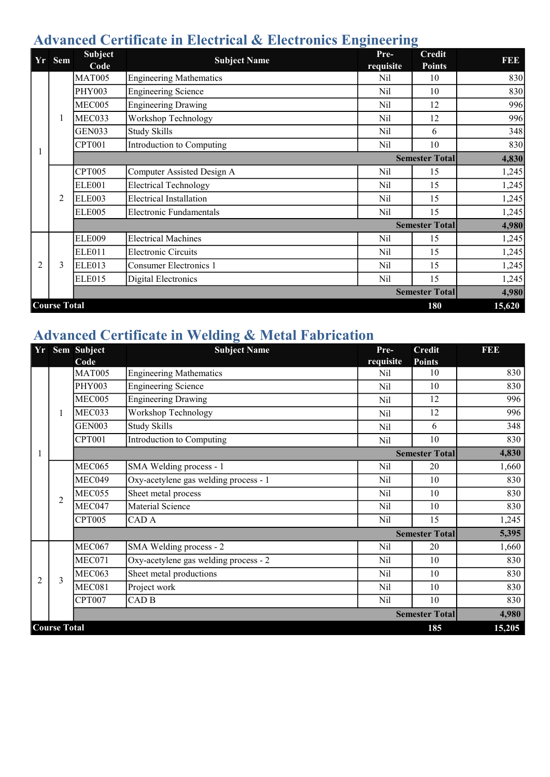### Advanced Certificate in Electrical & Electronics Engineering

| Yr             | <b>Sem</b>          | <b>Subject</b><br>Code | <b>Subject Name</b>            | Pre-<br>requisite | <b>Credit</b><br><b>Points</b> | FBE    |
|----------------|---------------------|------------------------|--------------------------------|-------------------|--------------------------------|--------|
|                |                     | <b>MAT005</b>          | <b>Engineering Mathematics</b> | Nil               | 10                             | 830    |
|                |                     | <b>PHY003</b>          | <b>Engineering Science</b>     | Nil               | 10                             | 830    |
|                |                     | MEC005                 | <b>Engineering Drawing</b>     | Nil               | 12                             | 996    |
|                |                     | MEC033                 | Workshop Technology            | Nil               | 12                             | 996    |
|                |                     | <b>GEN033</b>          | <b>Study Skills</b>            | Nil               | 6                              | 348    |
|                |                     | CPT001                 | Introduction to Computing      | Nil               | 10                             | 830    |
|                |                     |                        |                                |                   | <b>Semester Total</b>          | 4,830  |
|                |                     | <b>CPT005</b>          | Computer Assisted Design A     | Nil               | 15                             | 1,245  |
|                |                     | <b>ELE001</b>          | <b>Electrical Technology</b>   | Nil               | 15                             | 1,245  |
|                | 2                   | ELE003                 | <b>Electrical Installation</b> | Nil               | 15                             | 1,245  |
|                |                     | <b>ELE005</b>          | <b>Electronic Fundamentals</b> | Nil               | 15                             | 1,245  |
|                |                     |                        |                                |                   | <b>Semester Total</b>          | 4,980  |
|                |                     | <b>ELE009</b>          | <b>Electrical Machines</b>     | Nil               | 15                             | 1,245  |
|                |                     | <b>ELE011</b>          | <b>Electronic Circuits</b>     | Nil               | 15                             | 1,245  |
| $\overline{2}$ | 3                   | <b>ELE013</b>          | <b>Consumer Electronics 1</b>  | Nil               | 15                             | 1,245  |
|                |                     | <b>ELE015</b>          | <b>Digital Electronics</b>     | Nil               | 15                             | 1,245  |
|                |                     |                        |                                |                   | <b>Semester Total</b>          | 4,980  |
|                | <b>Course Total</b> |                        |                                |                   | 180                            | 15,620 |

### Advanced Certificate in Welding & Metal Fabrication

|                |                     | Yr Sem Subject | <b>Subject Name</b>                   | Pre-       | <b>Credit</b>         | FDD    |
|----------------|---------------------|----------------|---------------------------------------|------------|-----------------------|--------|
|                |                     | Code           |                                       | requisite  | <b>Points</b>         |        |
|                |                     | <b>MAT005</b>  | <b>Engineering Mathematics</b>        | Nil        | 10                    | 830    |
|                |                     | <b>PHY003</b>  | <b>Engineering Science</b>            | Nil        | 10                    | 830    |
|                |                     | MEC005         | <b>Engineering Drawing</b>            | Nil        | 12                    | 996    |
|                | 1                   | MEC033         | Workshop Technology                   | Nil        | 12                    | 996    |
|                |                     | <b>GEN003</b>  | <b>Study Skills</b>                   | Nil        | 6                     | 348    |
|                |                     | <b>CPT001</b>  | Introduction to Computing             | Nil        | 10                    | 830    |
|                |                     |                |                                       |            | <b>Semester Total</b> | 4,830  |
|                | $\overline{2}$      | <b>MEC065</b>  | SMA Welding process - 1               | Nil        | 20                    | 1,660  |
|                |                     | MEC049         | Oxy-acetylene gas welding process - 1 | Nil        | 10                    | 830    |
|                |                     | MEC055         | Sheet metal process                   | <b>Nil</b> | 10                    | 830    |
|                |                     | MEC047         | Material Science                      | Nil        | 10                    | 830    |
|                |                     | <b>CPT005</b>  | CAD A                                 | <b>Nil</b> | 15                    | 1,245  |
|                |                     |                |                                       |            | <b>Semester Total</b> | 5,395  |
|                |                     | <b>MEC067</b>  | SMA Welding process - 2               | Nil        | 20                    | 1,660  |
|                |                     | MEC071         | Oxy-acetylene gas welding process - 2 | Nil        | 10                    | 830    |
| $\overline{2}$ | 3                   | MEC063         | Sheet metal productions               | Nil        | 10                    | 830    |
|                |                     | MEC081         | Project work                          | <b>Nil</b> | 10                    | 830    |
|                |                     | <b>CPT007</b>  | CAD <sub>B</sub>                      | Nil        | 10                    | 830    |
|                |                     |                |                                       |            | <b>Semester Total</b> | 4,980  |
|                | <b>Course Total</b> |                |                                       |            | 185                   | 15,205 |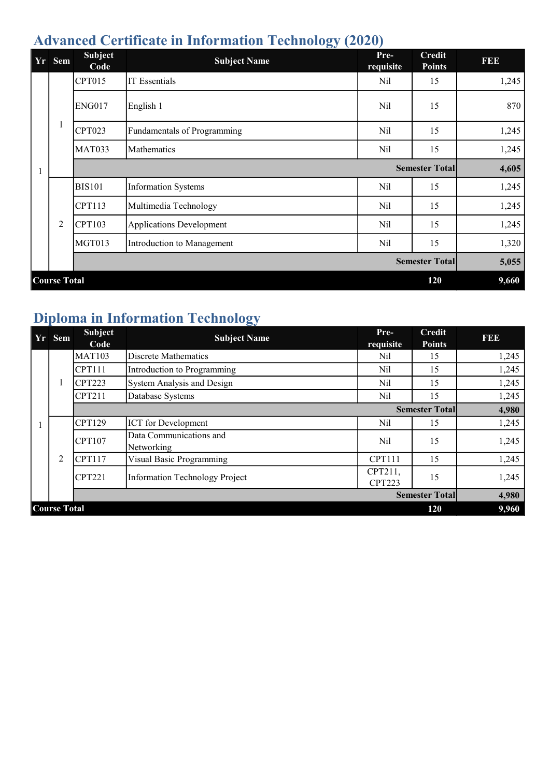## Advanced Certificate in Information Technology (2020)

| Yr                         | <b>Sem</b>     | <b>Subject</b><br>Code | <b>Subject Name</b>             | Pre-<br>requisite | <b>Credit</b><br><b>Points</b> | <b>RBD</b> |  |
|----------------------------|----------------|------------------------|---------------------------------|-------------------|--------------------------------|------------|--|
|                            |                | CPT015                 | <b>IT</b> Essentials            | Nil               | 15                             | 1,245      |  |
|                            |                | <b>ENG017</b>          | English 1                       | Nil               | 15                             | 870        |  |
|                            | $\mathbf{1}$   | <b>CPT023</b>          | Fundamentals of Programming     | Nil               | 15                             | 1,245      |  |
|                            |                | <b>MAT033</b>          | Mathematics                     | Nil               | 15                             | 1,245      |  |
|                            |                |                        |                                 |                   | <b>Semester Total</b>          | 4,605      |  |
|                            |                | <b>BIS101</b>          | <b>Information Systems</b>      | Nil               | 15                             | 1,245      |  |
|                            |                | <b>CPT113</b>          | Multimedia Technology           | Nil               | 15                             | 1,245      |  |
|                            | $\overline{2}$ | <b>CPT103</b>          | <b>Applications Development</b> | Nil               | 15                             | 1,245      |  |
|                            |                | <b>MGT013</b>          | Introduction to Management      | Nil               | 15                             | 1,320      |  |
|                            |                |                        |                                 |                   | <b>Semester Totall</b>         | 5,055      |  |
| <b>Course Total</b><br>120 |                |                        |                                 |                   |                                |            |  |

# Diploma in Information Technology

|                            | Yr Sem | Subject<br>Code | <b>Subject Name</b>                   | Pre-<br>requisite        | <b>Credit</b><br><b>Points</b> | <b>REE</b> |  |
|----------------------------|--------|-----------------|---------------------------------------|--------------------------|--------------------------------|------------|--|
|                            |        | <b>MAT103</b>   | Discrete Mathematics                  | Nil                      | 15                             | 1,245      |  |
|                            |        | <b>CPT111</b>   | Introduction to Programming           | Nil                      | 15                             | 1,245      |  |
|                            |        | CPT223          | System Analysis and Design            | Nil                      | 15                             | 1,245      |  |
|                            |        | CPT211          | Database Systems                      | Nil                      | 15                             | 1,245      |  |
|                            |        |                 |                                       |                          | <b>Semester Totall</b>         | 4,980      |  |
|                            |        | <b>CPT129</b>   | <b>ICT</b> for Development            | Nil                      | 15                             | 1,245      |  |
|                            |        | CPT107          | Data Communications and<br>Networking | Nil                      | 15                             | 1,245      |  |
|                            | 2      | CPT117          | Visual Basic Programming              | <b>CPT111</b>            | 15                             | 1,245      |  |
|                            |        | CPT221          | <b>Information Technology Project</b> | CPT211,<br><b>CPT223</b> | 15                             | 1,245      |  |
|                            |        |                 |                                       |                          | <b>Semester Total</b>          | 4,980      |  |
| <b>Course Total</b><br>120 |        |                 |                                       |                          |                                |            |  |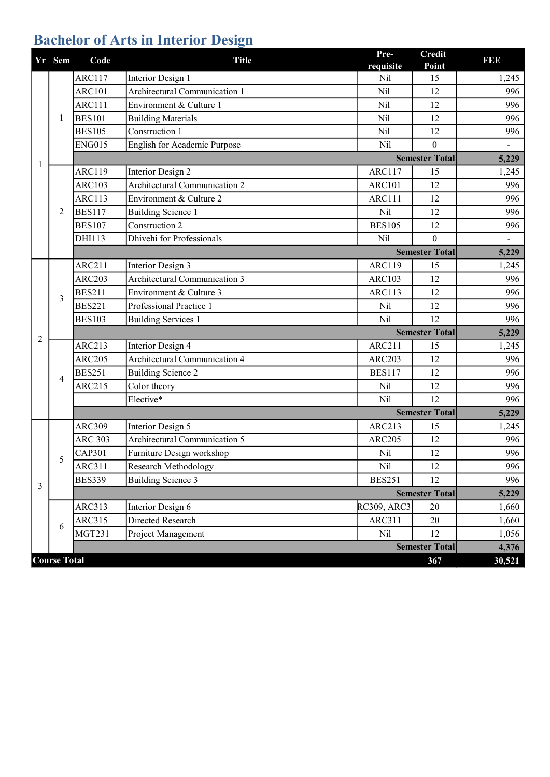# Bachelor of Arts in Interior Design

|   | Yr Sem              | Code           | <b>Title</b>                         | Pre-<br>requisite  | <b>Credit</b><br>Point | I 31 31 3                |
|---|---------------------|----------------|--------------------------------------|--------------------|------------------------|--------------------------|
|   |                     | <b>ARC117</b>  | Interior Design 1                    | Nil                | 15                     | 1,245                    |
|   |                     | <b>ARC101</b>  | Architectural Communication 1        | Nil                | 12                     | 996                      |
|   |                     | ARC111         | Environment & Culture 1              | Nil                | 12                     | 996                      |
|   | 1                   | <b>BES101</b>  | <b>Building Materials</b>            | Nil                | 12                     | 996                      |
|   |                     | <b>BES105</b>  | Construction 1                       | Nil                | 12                     | 996                      |
|   |                     | <b>ENG015</b>  | English for Academic Purpose         | Nil                | $\theta$               |                          |
| 1 |                     |                |                                      |                    | <b>Semester Total</b>  | 5,229                    |
|   |                     | <b>ARC119</b>  | Interior Design 2                    | <b>ARC117</b>      | 15                     | 1,245                    |
|   |                     | <b>ARC103</b>  | <b>Architectural Communication 2</b> | <b>ARC101</b>      | 12                     | 996                      |
|   |                     | <b>ARC113</b>  | Environment & Culture 2              | <b>ARC111</b>      | 12                     | 996                      |
|   | 2                   | <b>BES117</b>  | <b>Building Science 1</b>            | Nil                | 12                     | 996                      |
|   |                     | <b>BES107</b>  | Construction 2                       | <b>BES105</b>      | 12                     | 996                      |
|   |                     | DHI113         | Dhivehi for Professionals            | Nil                | $\theta$               | $\overline{\phantom{0}}$ |
|   |                     |                |                                      |                    | <b>Semester Total</b>  | 5,229                    |
|   |                     | <b>ARC211</b>  | Interior Design 3                    | <b>ARC119</b>      | 15                     | 1,245                    |
|   |                     | <b>ARC203</b>  | Architectural Communication 3        | <b>ARC103</b>      | 12                     | 996                      |
|   | 3                   | <b>BES211</b>  | Environment & Culture 3              | <b>ARC113</b>      | 12                     | 996                      |
|   |                     | <b>BES221</b>  | Professional Practice 1              | Nil                | 12                     | 996                      |
|   |                     | <b>BES103</b>  | <b>Building Services 1</b>           | Nil                | 12                     | 996                      |
| 2 |                     |                |                                      |                    | <b>Semester Total</b>  | 5,229                    |
|   |                     | <b>ARC213</b>  | <b>Interior Design 4</b>             | <b>ARC211</b>      | 15                     | 1,245                    |
|   |                     | <b>ARC205</b>  | Architectural Communication 4        | <b>ARC203</b>      | 12                     | 996                      |
|   | 4                   | <b>BES251</b>  | <b>Building Science 2</b>            | <b>BES117</b>      | 12                     | 996                      |
|   |                     | <b>ARC215</b>  | Color theory                         | Nil                | 12                     | 996                      |
|   |                     |                | Elective*                            | Nil                | 12                     | 996                      |
|   |                     |                |                                      |                    | <b>Semester Total</b>  | 5,229                    |
|   |                     | <b>ARC309</b>  | Interior Design 5                    | <b>ARC213</b>      | 15                     | 1,245                    |
|   |                     | <b>ARC 303</b> | Architectural Communication 5        | <b>ARC205</b>      | 12                     | 996                      |
|   | 5                   | <b>CAP301</b>  | Furniture Design workshop            | Nil                | 12                     | 996                      |
|   |                     | <b>ARC311</b>  | Research Methodology                 | Nil                | 12                     | 996                      |
| 3 |                     | <b>BES339</b>  | <b>Building Science 3</b>            | <b>BES251</b>      | 12                     | 996                      |
|   |                     |                |                                      |                    | <b>Semester Total</b>  | 5,229                    |
|   |                     | ARC313         | Interior Design 6                    | <b>RC309, ARC3</b> | 20                     | 1,660                    |
|   | 6                   | <b>ARC315</b>  | Directed Research                    | <b>ARC311</b>      | 20                     | 1,660                    |
|   |                     | <b>MGT231</b>  | Project Management                   | Nil                | 12                     | 1,056                    |
|   |                     |                |                                      |                    | <b>Semester Total</b>  | 4,376                    |
|   | <b>Course Total</b> |                |                                      |                    | 367                    | 30,521                   |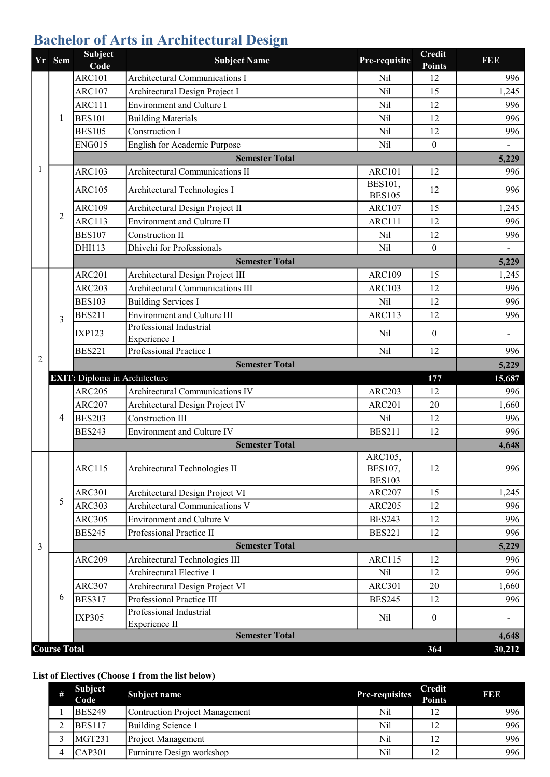# Bachelor of Arts in Architectural Design

|   | Yr Sem              | <b>Subject</b><br>Code               | <b>Subject Name</b>                     | Pre-requisite                       | <b>Credit</b><br><b>Points</b> | <b>RBB</b> |
|---|---------------------|--------------------------------------|-----------------------------------------|-------------------------------------|--------------------------------|------------|
|   |                     | <b>ARC101</b>                        | <b>Architectural Communications I</b>   | Nil                                 | 12                             | 996        |
|   |                     | <b>ARC107</b>                        | Architectural Design Project I          | Nil                                 | 15                             | 1,245      |
|   |                     | <b>ARC111</b>                        | <b>Environment and Culture I</b>        | Nil                                 | 12                             | 996        |
|   | 1                   | <b>BES101</b>                        | <b>Building Materials</b>               | Nil                                 | 12                             | 996        |
|   |                     | <b>BES105</b>                        | Construction I                          | Nil                                 | 12                             | 996        |
|   |                     | <b>ENG015</b>                        | English for Academic Purpose            | Nil                                 | $\mathbf{0}$                   |            |
|   |                     |                                      | <b>Semester Total</b>                   |                                     |                                | 5,229      |
| 1 |                     | <b>ARC103</b>                        | Architectural Communications II         | <b>ARC101</b>                       | 12                             | 996        |
|   |                     | <b>ARC105</b>                        | Architectural Technologies I            | BES101,<br><b>BES105</b>            | 12                             | 996        |
|   |                     | <b>ARC109</b>                        | Architectural Design Project II         | <b>ARC107</b>                       | 15                             | 1,245      |
|   | 2                   | <b>ARC113</b>                        | Environment and Culture II              | <b>ARC111</b>                       | 12                             | 996        |
|   |                     | <b>BES107</b>                        | Construction II                         | Nil                                 | 12                             | 996        |
|   |                     | DHI113                               | Dhivehi for Professionals               | Nil                                 | $\overline{0}$                 |            |
|   |                     |                                      | <b>Semester Total</b>                   |                                     |                                | 5,229      |
|   |                     | <b>ARC201</b>                        | Architectural Design Project III        | <b>ARC109</b>                       | 15                             | 1,245      |
|   |                     | <b>ARC203</b>                        | <b>Architectural Communications III</b> | <b>ARC103</b>                       | 12                             | 996        |
|   |                     | <b>BES103</b>                        | <b>Building Services I</b>              | Nil                                 | 12                             | 996        |
|   | 3                   | <b>BES211</b>                        | <b>Environment and Culture III</b>      | <b>ARC113</b>                       | 12                             | 996        |
|   |                     | <b>IXP123</b>                        | Professional Industrial<br>Experience I | Nil                                 | $\theta$                       |            |
|   |                     | <b>BES221</b>                        | Professional Practice I                 | Nil                                 | 12                             | 996        |
| 2 |                     |                                      | <b>Semester Total</b>                   |                                     |                                | 5,229      |
|   |                     | <b>EXIT:</b> Diploma in Architecture |                                         |                                     | 177                            | 15,687     |
|   | 4                   | <b>ARC205</b>                        | <b>Architectural Communications IV</b>  | <b>ARC203</b>                       | 12                             | 996        |
|   |                     | <b>ARC207</b>                        | Architectural Design Project IV         | <b>ARC201</b>                       | 20                             | 1,660      |
|   |                     | <b>BES203</b>                        | <b>Construction III</b>                 | Nil                                 | 12                             | 996        |
|   |                     | <b>BES243</b>                        | Environment and Culture IV              | <b>BES211</b>                       | 12                             | 996        |
|   |                     |                                      | <b>Semester Total</b>                   |                                     |                                | 4,648      |
|   |                     | <b>ARC115</b>                        | Architectural Technologies II           | ARC105,<br>BES107,<br><b>BES103</b> | 12                             | 996        |
|   |                     | <b>ARC301</b>                        | Architectural Design Project VI         | <b>ARC207</b>                       | 15                             | 1,245      |
|   | 5                   | <b>ARC303</b>                        | Architectural Communications V          | <b>ARC205</b>                       | 12                             | 996        |
|   |                     | <b>ARC305</b>                        | Environment and Culture V               | <b>BES243</b>                       | 12                             | 996        |
|   |                     | <b>BES245</b>                        | Professional Practice II                | <b>BES221</b>                       | 12                             | 996        |
| 3 |                     |                                      | <b>Semester Total</b>                   |                                     |                                | 5,229      |
|   |                     | <b>ARC209</b>                        | Architectural Technologies III          | <b>ARC115</b>                       | 12                             | 996        |
|   |                     |                                      | Architectural Elective 1                | Nil                                 | 12                             | 996        |
|   |                     | <b>ARC307</b>                        | Architectural Design Project VI         | <b>ARC301</b>                       | 20                             | 1,660      |
|   | 6                   | <b>BES317</b>                        | Professional Practice III               | <b>BES245</b>                       | 12                             | 996        |
|   |                     |                                      | Professional Industrial                 |                                     |                                |            |
|   |                     | <b>IXP305</b>                        | Experience II                           | Nil                                 | $\boldsymbol{0}$               |            |
|   |                     |                                      | <b>Semester Total</b>                   |                                     |                                | 4,648      |
|   | <b>Course Total</b> |                                      |                                         |                                     | 364                            | 30,212     |

#### List of Electives (Choose 1 from the list below)

| # | Subject<br>Code | Subject name                   | Pre-requisites | Credit<br><b>Points</b> | <b>BBB</b> |
|---|-----------------|--------------------------------|----------------|-------------------------|------------|
|   | <b>BES249</b>   | Contruction Project Management | Nil            |                         | 996        |
|   | <b>BES117</b>   | Building Science 1             | Nil            | 12                      | 996        |
|   | MGT231          | Project Management             | Nil            |                         | 996        |
|   | CAP301          | Furniture Design workshop      | Nil            |                         | 996        |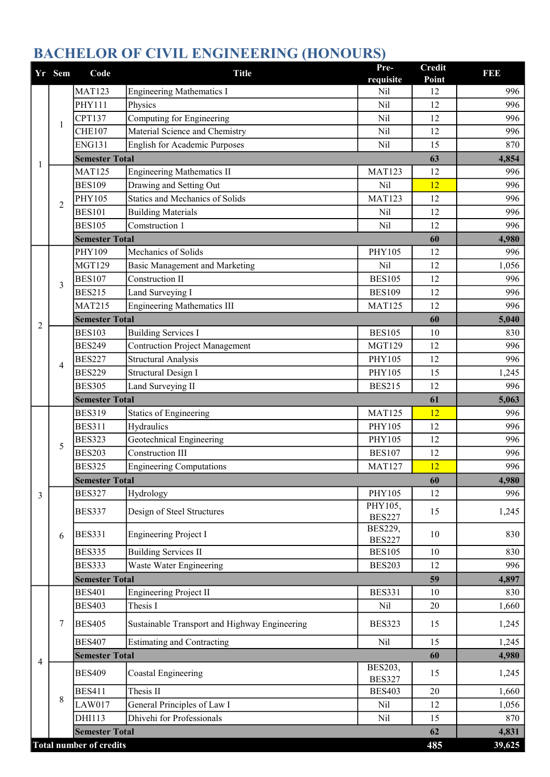|                | Yr Sem | Code                           | <b>Title</b>                                  | Pre-<br>requisite               | <b>Credit</b><br>Point | I 31 31 3                                                                                    |
|----------------|--------|--------------------------------|-----------------------------------------------|---------------------------------|------------------------|----------------------------------------------------------------------------------------------|
|                |        | <b>MAT123</b>                  | <b>Engineering Mathematics I</b>              | Nil                             | 12                     | 996                                                                                          |
|                |        | PHY111                         | Physics                                       | Nil                             | 12                     | 996                                                                                          |
|                |        | <b>CPT137</b>                  | Computing for Engineering                     | Nil                             | 12                     | 996                                                                                          |
|                | 1      | <b>CHE107</b>                  | Material Science and Chemistry                | Nil                             | 12                     | 996                                                                                          |
|                |        | <b>ENG131</b>                  | <b>English for Academic Purposes</b>          | Nil                             | 15                     | 870<br>996<br>4,980<br>5,040<br>1,245<br>5,063<br>996<br>996<br>996<br>4,980<br>830<br>1,660 |
| 1              |        | <b>Semester Total</b>          |                                               |                                 | 63                     | 4,854                                                                                        |
|                |        | <b>MAT125</b>                  | <b>Engineering Mathematics II</b>             | <b>MAT123</b>                   | 12                     | 996                                                                                          |
|                |        | <b>BES109</b>                  | Drawing and Setting Out                       | Nil                             | 12                     | 996                                                                                          |
|                | 2      | PHY105                         | Statics and Mechanics of Solids               | <b>MAT123</b>                   | 12                     | 996                                                                                          |
|                |        | <b>BES101</b>                  | <b>Building Materials</b>                     | Nil                             | 12                     |                                                                                              |
|                |        | <b>BES105</b>                  | Comstruction 1                                | Nil                             | 12                     | 996                                                                                          |
|                |        | <b>Semester Total</b>          |                                               |                                 | 60                     |                                                                                              |
|                |        | PHY109                         | Mechanics of Solids                           | <b>PHY105</b>                   | 12                     | 996                                                                                          |
|                |        | <b>MGT129</b>                  | Basic Management and Marketing                | Nil                             | 12                     | 1,056                                                                                        |
|                | 3      | <b>BES107</b>                  | Construction II                               | <b>BES105</b>                   | 12                     | 996                                                                                          |
|                |        | <b>BES215</b>                  | Land Surveying I                              | <b>BES109</b>                   | 12                     | 996                                                                                          |
|                |        | <b>MAT215</b>                  | <b>Engineering Mathematics III</b>            | <b>MAT125</b>                   | 12                     | 996                                                                                          |
| 2              |        | <b>Semester Total</b>          |                                               |                                 | 60                     | 830<br>996<br>996                                                                            |
|                |        | <b>BES103</b>                  | <b>Building Services I</b>                    | <b>BES105</b>                   | 10                     |                                                                                              |
|                |        | <b>BES249</b>                  | <b>Contruction Project Management</b>         | <b>MGT129</b>                   | 12                     |                                                                                              |
|                | 4      | <b>BES227</b>                  | <b>Structural Analysis</b>                    | PHY105                          | 12                     |                                                                                              |
|                |        | <b>BES229</b>                  | Structural Design I                           | PHY105                          | 15                     |                                                                                              |
|                |        | <b>BES305</b>                  | Land Surveying II                             | <b>BES215</b>                   | 12                     | 996                                                                                          |
|                |        | <b>Semester Total</b>          |                                               |                                 | 61                     |                                                                                              |
|                |        | <b>BES319</b>                  | <b>Statics of Engineering</b>                 | <b>MAT125</b>                   | 12                     | 996                                                                                          |
|                |        | <b>BES311</b>                  | Hydraulics                                    | PHY105                          | 12                     |                                                                                              |
|                | 5      | <b>BES323</b>                  | Geotechnical Engineering                      | PHY105                          | 12                     |                                                                                              |
|                |        | <b>BES203</b>                  | <b>Construction III</b>                       | <b>BES107</b>                   | 12                     | 996                                                                                          |
|                |        | <b>BES325</b>                  | <b>Engineering Computations</b>               | <b>MAT127</b>                   | 12                     |                                                                                              |
|                |        | <b>Semester Total</b>          |                                               |                                 | 60                     |                                                                                              |
| 3              |        | <b>BES327</b>                  | Hydrology                                     | PHY105                          | 12                     | 996                                                                                          |
|                |        | <b>BES337</b>                  | Design of Steel Structures                    | PHY105,                         | 15                     | 1,245                                                                                        |
|                |        |                                |                                               | <b>BES227</b><br><b>BES229,</b> |                        |                                                                                              |
|                | 6      | <b>BES331</b>                  | <b>Engineering Project I</b>                  | <b>BES227</b>                   | 10                     |                                                                                              |
|                |        | <b>BES335</b>                  | <b>Building Services II</b>                   | <b>BES105</b>                   | 10                     | 830                                                                                          |
|                |        | <b>BES333</b>                  | Waste Water Engineering                       | <b>BES203</b>                   | 12                     | 996                                                                                          |
|                |        | <b>Semester Total</b>          |                                               |                                 | 59                     | 4,897                                                                                        |
|                |        | <b>BES401</b>                  | <b>Engineering Project II</b>                 | <b>BES331</b>                   | 10                     | 830                                                                                          |
|                |        | <b>BES403</b>                  | Thesis I                                      | Nil                             | 20                     |                                                                                              |
|                | 7      | <b>BES405</b>                  | Sustainable Transport and Highway Engineering | <b>BES323</b>                   | 15                     | 1,245                                                                                        |
|                |        | <b>BES407</b>                  | <b>Estimating and Contracting</b>             | Nil                             | 15                     | 1,245                                                                                        |
|                |        | <b>Semester Total</b>          |                                               |                                 | 60                     | 4,980                                                                                        |
| $\overline{4}$ |        | <b>BES409</b>                  | Coastal Engineering                           | BES203,<br><b>BES327</b>        | 15                     | 1,245                                                                                        |
|                |        | <b>BES411</b>                  | Thesis II                                     | <b>BES403</b>                   | 20                     | 1,660                                                                                        |
|                | 8      | LAW017                         | General Principles of Law I                   | Nil                             | 12                     | 1,056                                                                                        |
|                |        | DHI113                         | Dhivehi for Professionals                     | Nil                             | 15                     | 870                                                                                          |
|                |        | <b>Semester Total</b>          |                                               |                                 | 62                     | 4,831                                                                                        |
|                |        | <b>Total number of credits</b> |                                               |                                 | 485                    | 39,625                                                                                       |

## BACHELOR OF CIVIL ENGINEERING (HONOURS)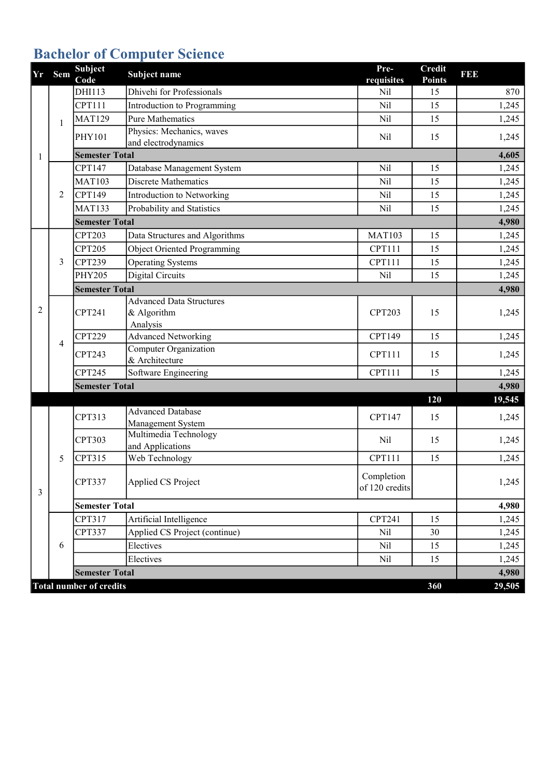# Bachelor of Computer Science

| Yr | Sem | <b>Subject</b><br>Code         | Subject name                    | Pre-<br>requisites | <b>Credit</b><br><b>Points</b> | <b>BB</b> |
|----|-----|--------------------------------|---------------------------------|--------------------|--------------------------------|-----------|
|    |     | DHI113                         | Dhivehi for Professionals       | Nil                | 15                             | 870       |
|    |     | <b>CPT111</b>                  | Introduction to Programming     | Nil                | 15                             | 1,245     |
|    | 1   | <b>MAT129</b>                  | <b>Pure Mathematics</b>         | Nil                | 15                             | 1,245     |
|    |     | PHY101                         | Physics: Mechanics, waves       | Nil                | 15                             | 1,245     |
|    |     |                                | and electrodynamics             |                    |                                |           |
| 1  |     | <b>Semester Total</b>          |                                 |                    |                                | 4,605     |
|    |     | CPT147                         | Database Management System      | Nil                | 15                             | 1,245     |
|    |     | <b>MAT103</b>                  | <b>Discrete Mathematics</b>     | Nil                | 15                             | 1,245     |
|    | 2   | CPT149                         | Introduction to Networking      | Nil                | 15                             | 1,245     |
|    |     | <b>MAT133</b>                  | Probability and Statistics      | Nil                | 15                             | 1,245     |
|    |     | <b>Semester Total</b>          |                                 |                    |                                | 4,980     |
|    |     | <b>CPT203</b>                  | Data Structures and Algorithms  | <b>MAT103</b>      | 15                             | 1,245     |
|    |     | <b>CPT205</b>                  | Object Oriented Programming     | <b>CPT111</b>      | 15                             | 1,245     |
|    | 3   | <b>CPT239</b>                  | <b>Operating Systems</b>        | CPT111             | 15                             | 1,245     |
|    |     | <b>PHY205</b>                  | <b>Digital Circuits</b>         | Nil                | 15                             | 1,245     |
|    |     | <b>Semester Total</b>          |                                 |                    |                                | 4,980     |
|    | 4   |                                | <b>Advanced Data Structures</b> |                    |                                |           |
| 2  |     | <b>CPT241</b>                  | & Algorithm                     | <b>CPT203</b>      | 15                             | 1,245     |
|    |     |                                | Analysis                        |                    |                                |           |
|    |     | <b>CPT229</b>                  | <b>Advanced Networking</b>      | CPT149             | 15                             | 1,245     |
|    |     | CPT243                         | <b>Computer Organization</b>    | CPT111             | 15                             | 1,245     |
|    |     | CPT245                         | & Architecture                  |                    | 15                             |           |
|    |     |                                | Software Engineering            | <b>CPT111</b>      |                                | 1,245     |
|    |     | <b>Semester Total</b>          |                                 |                    |                                | 4,980     |
|    |     |                                | <b>Advanced Database</b>        |                    | 120                            | 19,545    |
|    |     | CPT313                         | Management System               | CPT147             | 15                             | 1,245     |
|    |     |                                | Multimedia Technology           |                    |                                |           |
|    |     | <b>CPT303</b>                  | and Applications                | Nil                | 15                             | 1,245     |
|    | 5   | CPT315                         | Web Technology                  | <b>CPT111</b>      | 15                             | 1,245     |
|    |     |                                |                                 | Completion         |                                |           |
| 3  |     | CPT337                         | Applied CS Project              | of 120 credits     |                                | 1,245     |
|    |     | <b>Semester Total</b>          |                                 |                    |                                | 4,980     |
|    |     | CPT317                         | Artificial Intelligence         | <b>CPT241</b>      | 15                             | 1,245     |
|    |     | CPT337                         | Applied CS Project (continue)   | Nil                | 30                             | 1,245     |
|    | 6   |                                | Electives                       | Nil                | 15                             | 1,245     |
|    |     |                                | Electives                       | Nil                | 15                             | 1,245     |
|    |     | <b>Semester Total</b>          |                                 |                    |                                | 4,980     |
|    |     | <b>Total number of credits</b> |                                 |                    | 360                            | 29,505    |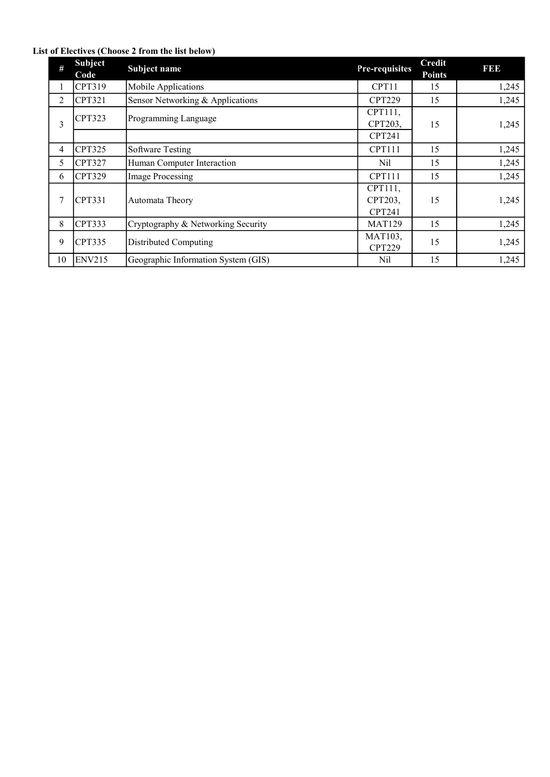#### List of Electives (Choose 2 from the list below)

| #  | <b>Subject</b><br>Code | Subject name                        | Pre-requisites                      | <b>Credit</b><br><b>Points</b> | <b>BBB</b> |
|----|------------------------|-------------------------------------|-------------------------------------|--------------------------------|------------|
| 1  | CPT319                 | Mobile Applications                 | CPT11                               | 15                             | 1,245      |
| 2  | CPT321                 | Sensor Networking & Applications    | <b>CPT229</b>                       | 15                             | 1,245      |
| 3  | <b>CPT323</b>          | Programming Language                | CPT111,<br>CPT203,                  | 15                             | 1,245      |
|    |                        |                                     | CPT241                              |                                |            |
| 4  | <b>CPT325</b>          | <b>Software Testing</b>             | <b>CPT111</b>                       | 15                             | 1,245      |
| 5  | <b>CPT327</b>          | Human Computer Interaction          | Nil                                 | 15                             | 1,245      |
| 6  | <b>CPT329</b>          | Image Processing                    | <b>CPT111</b>                       | 15                             | 1,245      |
| 7  | CPT331                 | Automata Theory                     | CPT111,<br>CPT203,<br><b>CPT241</b> | 15                             | 1,245      |
| 8  | CPT333                 | Cryptography & Networking Security  | <b>MAT129</b>                       | 15                             | 1,245      |
| 9  | CPT335                 | Distributed Computing               | MAT103,<br><b>CPT229</b>            | 15                             | 1,245      |
| 10 | <b>ENV215</b>          | Geographic Information System (GIS) | Nil                                 | 15                             | 1,245      |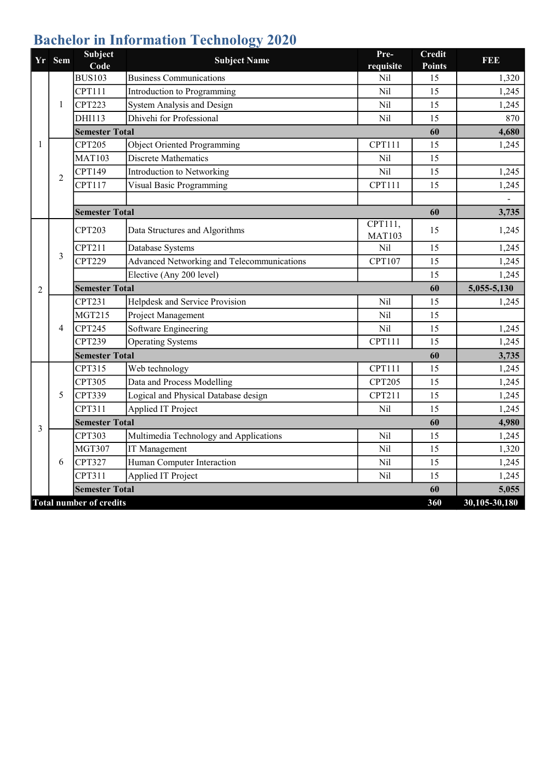# Bachelor in Information Technology 2020

|                | Yr Sem         | Subject<br>Code                                         | <b>Subject Name</b>                        | Pre-<br>requisite        | <b>Credit</b><br><b>Points</b> | <b>REE</b>             |
|----------------|----------------|---------------------------------------------------------|--------------------------------------------|--------------------------|--------------------------------|------------------------|
|                |                | <b>BUS103</b>                                           | <b>Business Communications</b>             | Nil                      | 15                             | 1,320                  |
|                |                | <b>CPT111</b>                                           | Introduction to Programming                | Nil                      | 15                             | 1,245                  |
|                | 1              | <b>CPT223</b>                                           | System Analysis and Design                 | Nil                      | 15                             | 1,245                  |
|                |                | DHI113                                                  | Dhivehi for Professional                   | Nil                      | 15                             | 870                    |
|                |                | <b>Semester Total</b>                                   |                                            |                          | 60                             | 4,680                  |
| 1              |                | <b>CPT205</b>                                           | Object Oriented Programming                | <b>CPT111</b>            | 15                             | 1,245                  |
|                |                | <b>MAT103</b>                                           | Discrete Mathematics                       | Nil                      | 15                             |                        |
|                | $\overline{2}$ | CPT149                                                  | Introduction to Networking                 | Nil                      | 15                             | 1,245                  |
|                |                | CPT117                                                  | Visual Basic Programming                   | <b>CPT111</b>            | 15                             | 1,245                  |
|                |                |                                                         |                                            |                          |                                |                        |
|                |                | <b>Semester Total</b>                                   |                                            |                          | 60                             | 3,735                  |
|                |                | <b>CPT203</b>                                           | Data Structures and Algorithms             | CPT111,<br><b>MAT103</b> | 15                             | 1,245                  |
|                |                | CPT211                                                  | Database Systems                           | Nil                      | 15                             | 1,245                  |
|                | 3              | <b>CPT229</b>                                           | Advanced Networking and Telecommunications | <b>CPT107</b>            | 15                             | 1,245                  |
|                |                |                                                         | Elective (Any 200 level)                   |                          | 15                             | 1,245                  |
| $\overline{2}$ |                | <b>Semester Total</b>                                   |                                            |                          | 60                             | 5,055-5,130            |
|                |                | <b>CPT231</b>                                           | Helpdesk and Service Provision             | Nil                      | 15                             | 1,245                  |
|                |                | <b>MGT215</b>                                           | Project Management                         | Nil                      | 15                             |                        |
|                |                |                                                         |                                            |                          |                                |                        |
|                | 4              | <b>CPT245</b>                                           | Software Engineering                       | Nil                      | 15                             | 1,245                  |
|                |                | CPT239                                                  | <b>Operating Systems</b>                   | CPT111                   | 15                             | 1,245                  |
|                |                | <b>Semester Total</b>                                   |                                            |                          | 60                             | 3,735                  |
|                |                | CPT315                                                  | Web technology                             | CPT111                   | 15                             | 1,245                  |
|                |                | <b>CPT305</b>                                           | Data and Process Modelling                 | <b>CPT205</b>            | 15                             | 1,245                  |
|                | 5              | CPT339                                                  | Logical and Physical Database design       | CPT211                   | 15                             | 1,245                  |
|                |                | CPT311                                                  | <b>Applied IT Project</b>                  | Nil                      | 15                             | 1,245                  |
|                |                | <b>Semester Total</b>                                   |                                            |                          | 60                             | 4,980                  |
| 3              |                | <b>CPT303</b>                                           | Multimedia Technology and Applications     | Nil                      | 15                             | 1,245                  |
|                |                | <b>MGT307</b>                                           | IT Management                              | Nil                      | 15                             | 1,320                  |
|                | 6              | CPT327                                                  | Human Computer Interaction                 | Nil                      | 15                             | 1,245                  |
|                |                | CPT311                                                  | Applied IT Project                         | Nil                      | 15                             | 1,245                  |
|                |                | <b>Semester Total</b><br><b>Total number of credits</b> |                                            |                          | 60<br>360                      | 5,055<br>30,105-30,180 |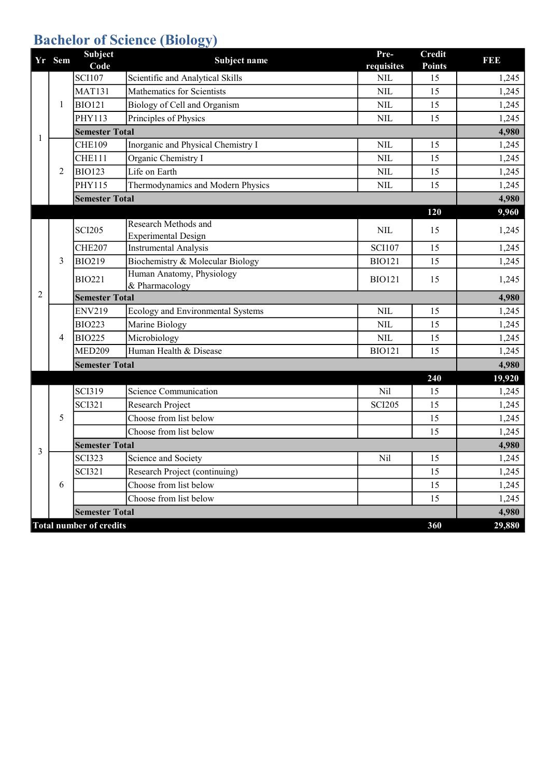## **Bachelor of Science (Biology)**

|   | Yr Sem | Subject<br>Code                | Subject name                                       | Pre-<br>requisites | <b>Credit</b><br><b>Points</b> | <b>BBB</b> |
|---|--------|--------------------------------|----------------------------------------------------|--------------------|--------------------------------|------------|
|   |        | <b>SCI107</b>                  | Scientific and Analytical Skills                   | <b>NIL</b>         | 15                             | 1,245      |
|   |        | <b>MAT131</b>                  | Mathematics for Scientists                         | <b>NIL</b>         | 15                             | 1,245      |
|   | 1      | <b>BIO121</b>                  | Biology of Cell and Organism                       | <b>NIL</b>         | 15                             | 1,245      |
|   |        | PHY113                         | Principles of Physics                              | <b>NIL</b>         | 15                             | 1,245      |
| 1 |        | <b>Semester Total</b>          |                                                    |                    |                                | 4,980      |
|   |        | <b>CHE109</b>                  | Inorganic and Physical Chemistry I                 | <b>NIL</b>         | 15                             | 1,245      |
|   |        | <b>CHE111</b>                  | Organic Chemistry I                                | <b>NIL</b>         | 15                             | 1,245      |
|   | 2      | <b>BIO123</b>                  | Life on Earth                                      | <b>NIL</b>         | 15                             | 1,245      |
|   |        | PHY115                         | Thermodynamics and Modern Physics                  | <b>NIL</b>         | 15                             | 1,245      |
|   |        | <b>Semester Total</b>          |                                                    |                    |                                | 4,980      |
|   |        |                                |                                                    |                    | 120                            | 9,960      |
|   |        | <b>SCI205</b>                  | Research Methods and<br><b>Experimental Design</b> | <b>NIL</b>         | 15                             | 1,245      |
|   | 3      | <b>CHE207</b>                  | <b>Instrumental Analysis</b>                       | <b>SCI107</b>      | 15                             | 1,245      |
|   |        | <b>BIO219</b>                  | Biochemistry & Molecular Biology                   | <b>BIO121</b>      | 15                             | 1,245      |
|   |        | <b>BIO221</b>                  | Human Anatomy, Physiology<br>& Pharmacology        | <b>BIO121</b>      | 15                             | 1,245      |
| 2 |        | <b>Semester Total</b>          |                                                    |                    |                                | 4,980      |
|   |        | <b>ENV219</b>                  | Ecology and Environmental Systems                  | <b>NIL</b>         | 15                             | 1,245      |
|   |        | <b>BIO223</b>                  | Marine Biology                                     | <b>NIL</b>         | 15                             | 1,245      |
|   | 4      | <b>BIO225</b>                  | Microbiology                                       | <b>NIL</b>         | 15                             | 1,245      |
|   |        | <b>MED209</b>                  | Human Health & Disease                             | <b>BIO121</b>      | 15                             | 1,245      |
|   |        | <b>Semester Total</b>          |                                                    |                    |                                | 4,980      |
|   |        |                                |                                                    |                    | 240                            | 19,920     |
|   |        | <b>SCI319</b>                  | <b>Science Communication</b>                       | Nil                | 15                             | 1,245      |
|   |        | <b>SCI321</b>                  | Research Project                                   | <b>SCI205</b>      | 15                             | 1,245      |
|   | 5      |                                | Choose from list below                             |                    | 15                             | 1,245      |
|   |        |                                | Choose from list below                             |                    | 15                             | 1,245      |
| 3 |        | <b>Semester Total</b>          |                                                    |                    |                                | 4,980      |
|   |        | <b>SCI323</b>                  | Science and Society                                | Nil                | 15                             | 1,245      |
|   |        | <b>SCI321</b>                  | Research Project (continuing)                      |                    | 15                             | 1,245      |
|   | 6      |                                | Choose from list below                             |                    | 15                             | 1,245      |
|   |        |                                | Choose from list below                             |                    | 15                             | 1,245      |
|   |        | <b>Semester Total</b>          |                                                    |                    |                                | 4,980      |
|   |        | <b>Total number of credits</b> |                                                    |                    | 360                            | 29,880     |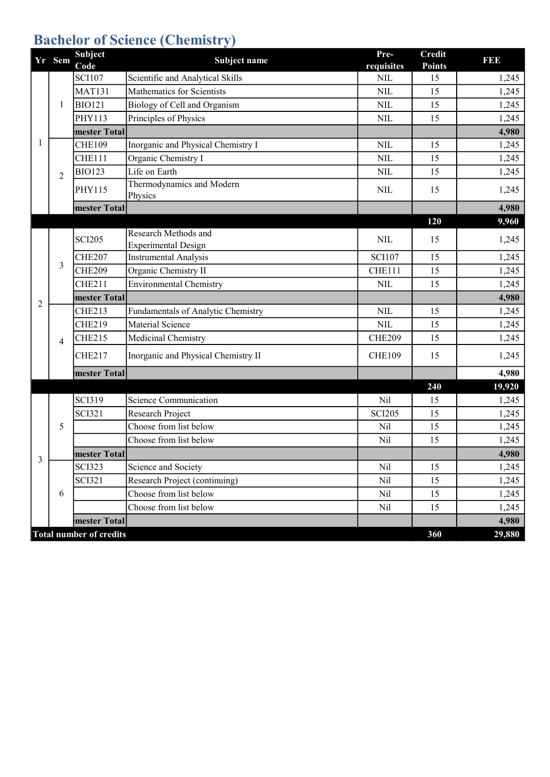# Bachelor of Science (Chemistry)

|                | Yr Sem         | <b>Subject</b><br>Code         | Subject name                                       | Pre-<br>requisites | <b>Credit</b><br><b>Points</b> | <b>BBB</b> |
|----------------|----------------|--------------------------------|----------------------------------------------------|--------------------|--------------------------------|------------|
|                |                | <b>SCI107</b>                  | Scientific and Analytical Skills                   | <b>NIL</b>         | 15                             | 1,245      |
|                |                | <b>MAT131</b>                  | Mathematics for Scientists                         | <b>NIL</b>         | 15                             | 1,245      |
|                | 1              | <b>BIO121</b>                  | Biology of Cell and Organism                       | <b>NIL</b>         | 15                             | 1,245      |
|                |                | <b>PHY113</b>                  | Principles of Physics                              | <b>NIL</b>         | 15                             | 1,245      |
|                |                | mester Total                   |                                                    |                    |                                | 4,980      |
| 1              |                | <b>CHE109</b>                  | Inorganic and Physical Chemistry I                 | <b>NIL</b>         | 15                             | 1,245      |
|                |                | <b>CHE111</b>                  | Organic Chemistry I                                | <b>NIL</b>         | 15                             | 1,245      |
|                | $\overline{2}$ | <b>BIO123</b>                  | Life on Earth                                      | <b>NIL</b>         | 15                             | 1,245      |
|                |                | PHY115                         | Thermodynamics and Modern<br>Physics               | <b>NIL</b>         | 15                             | 1,245      |
|                |                | mester Total                   |                                                    |                    |                                | 4,980      |
|                |                |                                |                                                    |                    | 120                            | 9,960      |
|                |                | <b>SCI205</b>                  | Research Methods and<br><b>Experimental Design</b> | <b>NIL</b>         | 15                             | 1,245      |
|                | 3              | <b>CHE207</b>                  | <b>Instrumental Analysis</b>                       | <b>SCI107</b>      | 15                             | 1,245      |
|                |                | <b>CHE209</b>                  | Organic Chemistry II                               | <b>CHE111</b>      | 15                             | 1,245      |
|                |                | <b>CHE211</b>                  | <b>Environmental Chemistry</b>                     | <b>NIL</b>         | 15                             | 1,245      |
| $\overline{2}$ |                | mester Total                   |                                                    |                    |                                | 4,980      |
|                |                | <b>CHE213</b>                  | Fundamentals of Analytic Chemistry                 | <b>NIL</b>         | 15                             | 1,245      |
|                |                | <b>CHE219</b>                  | Material Science                                   | <b>NIL</b>         | 15                             | 1,245      |
|                | 4              | <b>CHE215</b>                  | Medicinal Chemistry                                | <b>CHE209</b>      | 15                             | 1,245      |
|                |                | <b>CHE217</b>                  | Inorganic and Physical Chemistry II                | <b>CHE109</b>      | 15                             | 1,245      |
|                |                | mester Total                   |                                                    |                    |                                | 4,980      |
|                |                |                                |                                                    |                    | 240                            | 19,920     |
|                |                | <b>SCI319</b>                  | <b>Science Communication</b>                       | Nil                | 15                             | 1,245      |
|                |                | <b>SCI321</b>                  | Research Project                                   | <b>SCI205</b>      | 15                             | 1,245      |
|                | 5              |                                | Choose from list below                             | Nil                | 15                             | 1,245      |
|                |                |                                | Choose from list below                             | Nil                | 15                             | 1,245      |
| 3              |                | mester Total                   |                                                    |                    |                                | 4,980      |
|                |                | <b>SCI323</b>                  | Science and Society                                | Nil                | 15                             | 1,245      |
|                |                | <b>SCI321</b>                  | Research Project (continuing)                      | Nil                | 15                             | 1,245      |
|                | 6              |                                | Choose from list below                             | Nil                | 15                             | 1,245      |
|                |                |                                | Choose from list below                             | Nil                | 15                             | 1,245      |
|                |                | mester Total                   |                                                    |                    |                                | 4,980      |
|                |                | <b>Total number of credits</b> |                                                    |                    | 360                            | 29,880     |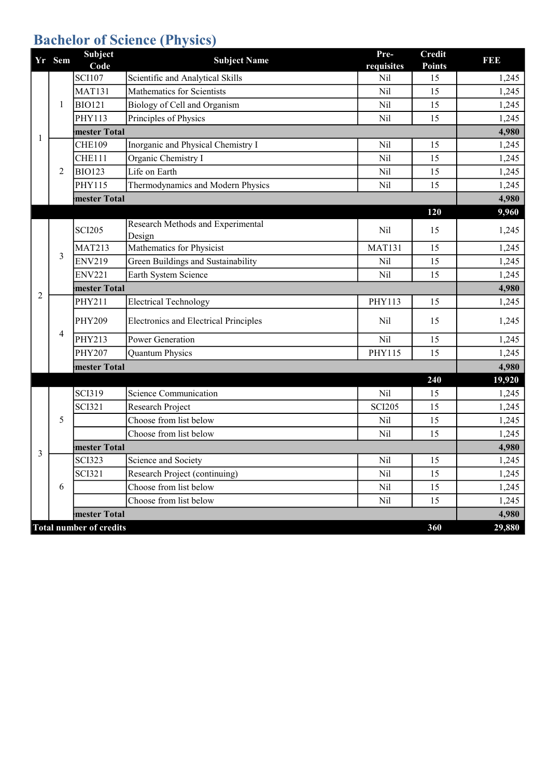# **Bachelor of Science (Physics)**

|   | Yr Sem | <b>Subject</b><br>Code         | <b>Subject Name</b>                          | Pre-<br>requisites | <b>Credit</b><br><b>Points</b> | I 31 31 3 |
|---|--------|--------------------------------|----------------------------------------------|--------------------|--------------------------------|-----------|
|   |        | <b>SCI107</b>                  | Scientific and Analytical Skills             | Nil                | 15                             | 1,245     |
|   |        | <b>MAT131</b>                  | Mathematics for Scientists                   | Nil                | 15                             | 1,245     |
|   | 1      | <b>BIO121</b>                  | Biology of Cell and Organism                 | Nil                | 15                             | 1,245     |
|   |        | PHY113                         | Principles of Physics                        | Nil                | 15                             | 1,245     |
| 1 |        | mester Total                   |                                              |                    |                                | 4,980     |
|   |        | <b>CHE109</b>                  | Inorganic and Physical Chemistry I           | Nil                | 15                             | 1,245     |
|   |        | <b>CHE111</b>                  | Organic Chemistry I                          | Nil                | 15                             | 1,245     |
|   | 2      | <b>BIO123</b>                  | Life on Earth                                | Nil                | 15                             | 1,245     |
|   |        | PHY115                         | Thermodynamics and Modern Physics            | Nil                | 15                             | 1,245     |
|   |        | mester Total                   |                                              |                    |                                | 4,980     |
|   |        |                                |                                              |                    | 120                            | 9,960     |
|   |        | <b>SCI205</b>                  | Research Methods and Experimental<br>Design  | Nil                | 15                             | 1,245     |
|   | 3      | <b>MAT213</b>                  | Mathematics for Physicist                    | <b>MAT131</b>      | 15                             | 1,245     |
|   |        | <b>ENV219</b>                  | Green Buildings and Sustainability           | Nil                | 15                             | 1,245     |
|   |        | <b>ENV221</b>                  | Earth System Science                         | Nil                | 15                             | 1,245     |
|   |        | mester Total                   |                                              |                    |                                | 4,980     |
| 2 |        | PHY211                         | <b>Electrical Technology</b>                 | PHY113             | 15                             | 1,245     |
|   |        | <b>PHY209</b>                  | <b>Electronics and Electrical Principles</b> | Nil                | 15                             | 1,245     |
|   | 4      | PHY213                         | Power Generation                             | Nil                | 15                             | 1,245     |
|   |        | <b>PHY207</b>                  | <b>Quantum Physics</b>                       | PHY115             | 15                             | 1,245     |
|   |        | mester Total                   |                                              |                    |                                | 4,980     |
|   |        |                                |                                              |                    | 240                            | 19,920    |
|   |        | <b>SCI319</b>                  | <b>Science Communication</b>                 | Nil                | 15                             | 1,245     |
|   |        | <b>SCI321</b>                  | Research Project                             | <b>SCI205</b>      | 15                             | 1,245     |
|   | 5      |                                | Choose from list below                       | Nil                | 15                             | 1,245     |
|   |        |                                | Choose from list below                       | Nil                | 15                             | 1,245     |
| 3 |        | mester Total                   |                                              |                    |                                | 4,980     |
|   |        | <b>SCI323</b>                  | Science and Society                          | Nil                | 15                             | 1,245     |
|   |        | <b>SCI321</b>                  | Research Project (continuing)                | Nil                | 15                             | 1,245     |
|   | 6      |                                | Choose from list below                       | Nil                | 15                             | 1,245     |
|   |        |                                | Choose from list below                       | Nil                | 15                             | 1,245     |
|   |        | mester Total                   |                                              |                    |                                | 4,980     |
|   |        | <b>Total number of credits</b> |                                              |                    | 360                            | 29,880    |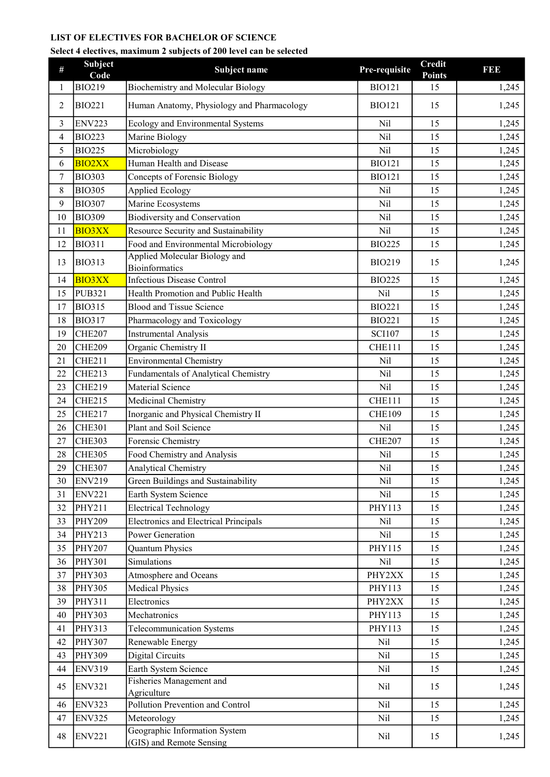#### LIST OF ELECTIVES FOR BACHELOR OF SCIENCE

#### Select 4 electives, maximum 2 subjects of 200 level can be selected

| #  | <b>Subject</b><br>Code | Subject name                                              | Pre-requisite | <b>Credit</b><br><b>Points</b> | I 31 31 3 |
|----|------------------------|-----------------------------------------------------------|---------------|--------------------------------|-----------|
| 1  | <b>BIO219</b>          | Biochemistry and Molecular Biology                        | <b>BIO121</b> | 15                             | 1,245     |
| 2  | <b>BIO221</b>          | Human Anatomy, Physiology and Pharmacology                | <b>BIO121</b> | 15                             | 1,245     |
| 3  | <b>ENV223</b>          | Ecology and Environmental Systems                         | Nil           | 15                             | 1,245     |
| 4  | <b>BIO223</b>          | Marine Biology                                            | Nil           | 15                             | 1,245     |
| 5  | <b>BIO225</b>          | Microbiology                                              | Nil           | 15                             | 1,245     |
| 6  | <b>BIO2XX</b>          | Human Health and Disease                                  | <b>BIO121</b> | 15                             | 1,245     |
| 7  | <b>BIO303</b>          | Concepts of Forensic Biology                              | <b>BIO121</b> | 15                             | 1,245     |
| 8  | <b>BIO305</b>          | <b>Applied Ecology</b>                                    | Nil           | 15                             | 1,245     |
| 9  | <b>BIO307</b>          | Marine Ecosystems                                         | Nil           | 15                             | 1,245     |
| 10 | <b>BIO309</b>          | <b>Biodiversity and Conservation</b>                      | Nil           | 15                             | 1,245     |
| 11 | <b>BIO3XX</b>          | Resource Security and Sustainability                      | Nil           | 15                             | 1,245     |
| 12 | <b>BIO311</b>          | Food and Environmental Microbiology                       | <b>BIO225</b> | 15                             | 1,245     |
| 13 | <b>BIO313</b>          | Applied Molecular Biology and<br><b>Bioinformatics</b>    | <b>BIO219</b> | 15                             | 1,245     |
| 14 | <b>BIO3XX</b>          | <b>Infectious Disease Control</b>                         | <b>BIO225</b> | 15                             | 1,245     |
| 15 | <b>PUB321</b>          | Health Promotion and Public Health                        | Nil           | 15                             | 1,245     |
| 17 | <b>BIO315</b>          | <b>Blood and Tissue Science</b>                           | <b>BIO221</b> | 15                             | 1,245     |
| 18 | <b>BIO317</b>          | Pharmacology and Toxicology                               | <b>BIO221</b> | 15                             | 1,245     |
| 19 | CHE207                 | <b>Instrumental Analysis</b>                              | <b>SCI107</b> | 15                             | 1,245     |
| 20 | <b>CHE209</b>          | Organic Chemistry II                                      | <b>CHE111</b> | 15                             | 1,245     |
| 21 | <b>CHE211</b>          | <b>Environmental Chemistry</b>                            | Nil           | 15                             | 1,245     |
| 22 | <b>CHE213</b>          | Fundamentals of Analytical Chemistry                      | Nil           | 15                             | 1,245     |
| 23 | <b>CHE219</b>          | Material Science                                          | Nil           | 15                             | 1,245     |
| 24 | <b>CHE215</b>          | Medicinal Chemistry                                       | CHE111        | 15                             | 1,245     |
| 25 | <b>CHE217</b>          | Inorganic and Physical Chemistry II                       | <b>CHE109</b> | 15                             | 1,245     |
| 26 | <b>CHE301</b>          | Plant and Soil Science                                    | Nil           | 15                             | 1,245     |
| 27 | <b>CHE303</b>          | Forensic Chemistry                                        | <b>CHE207</b> | 15                             | 1,245     |
| 28 | <b>CHE305</b>          | Food Chemistry and Analysis                               | Nil           | 15                             | 1,245     |
| 29 | <b>CHE307</b>          | <b>Analytical Chemistry</b>                               | Nil           | 15                             | 1,245     |
| 30 | <b>ENV219</b>          | Green Buildings and Sustainability                        | Nil           | 15                             | 1,245     |
| 31 | <b>ENV221</b>          | Earth System Science                                      | Nil           | 15                             | 1,245     |
| 32 | PHY211                 | <b>Electrical Technology</b>                              | PHY113        | 15                             | 1,245     |
| 33 | <b>PHY209</b>          | <b>Electronics and Electrical Principals</b>              | Nil           | 15                             | 1,245     |
| 34 | PHY213                 | <b>Power Generation</b>                                   | Nil           | 15                             | 1,245     |
| 35 | <b>PHY207</b>          | <b>Quantum Physics</b>                                    | PHY115        | 15                             | 1,245     |
| 36 | <b>PHY301</b>          | Simulations                                               | Nil           | 15                             | 1,245     |
| 37 | <b>PHY303</b>          | Atmosphere and Oceans                                     | PHY2XX        | 15                             | 1,245     |
| 38 | <b>PHY305</b>          | <b>Medical Physics</b>                                    | PHY113        | 15                             | 1,245     |
| 39 | PHY311                 | Electronics                                               | PHY2XX        | 15                             | 1,245     |
| 40 | <b>PHY303</b>          | Mechatronics                                              | PHY113        | 15                             | 1,245     |
| 41 | PHY313                 | Telecommunication Systems                                 | PHY113        | 15                             | 1,245     |
| 42 | <b>PHY307</b>          | Renewable Energy                                          | Nil           | 15                             | 1,245     |
| 43 | <b>PHY309</b>          | Digital Circuits                                          | Nil           | 15                             | 1,245     |
| 44 | <b>ENV319</b>          | Earth System Science                                      | Nil           | 15                             | 1,245     |
| 45 | <b>ENV321</b>          | Fisheries Management and<br>Agriculture                   | Nil           | 15                             | 1,245     |
| 46 | <b>ENV323</b>          | Pollution Prevention and Control                          | Nil           | 15                             | 1,245     |
| 47 | <b>ENV325</b>          | Meteorology                                               | Nil           | 15                             | 1,245     |
| 48 | <b>ENV221</b>          | Geographic Information System<br>(GIS) and Remote Sensing | Nil           | 15                             | 1,245     |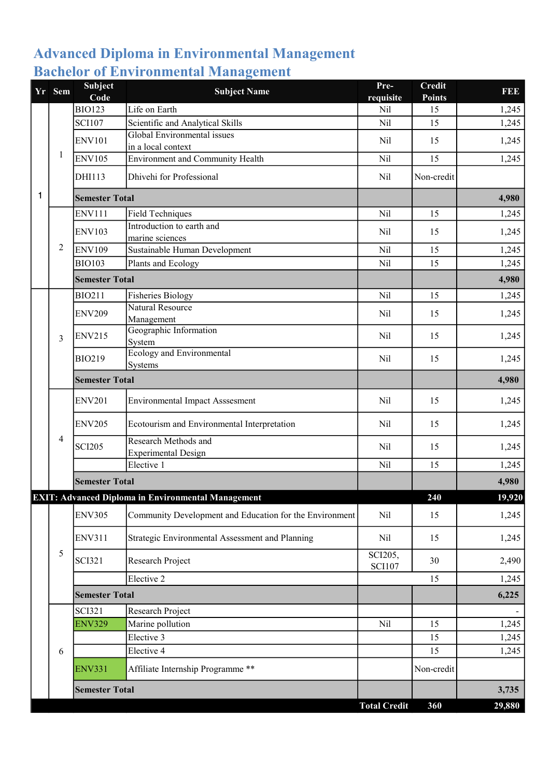### Advanced Diploma in Environmental Management Bachelor of Environmental Management

|   | Yr Sem | Subject<br>Code       | <b>Subject Name</b>                                       | Pre-<br>requisite        | <b>Credit</b><br><b>Points</b> | <b>REE</b> |
|---|--------|-----------------------|-----------------------------------------------------------|--------------------------|--------------------------------|------------|
|   |        | <b>BIO123</b>         | Life on Earth                                             | <b>Nil</b>               | 15                             | 1,245      |
|   |        | <b>SCI107</b>         | Scientific and Analytical Skills                          | Nil                      | 15                             | 1,245      |
|   |        | <b>ENV101</b>         | Global Environmental issues<br>in a local context         | Nil                      | 15                             | 1,245      |
|   | 1      | <b>ENV105</b>         | <b>Environment and Community Health</b>                   | Nil                      | 15                             | 1,245      |
|   |        | DHI113                | Dhivehi for Professional                                  | Nil                      | Non-credit                     |            |
| 1 |        | <b>Semester Total</b> |                                                           |                          |                                | 4,980      |
|   |        | <b>ENV111</b>         | <b>Field Techniques</b>                                   | Nil                      | 15                             | 1,245      |
|   |        | <b>ENV103</b>         | Introduction to earth and<br>marine sciences              | Nil                      | 15                             | 1,245      |
|   | 2      | <b>ENV109</b>         | Sustainable Human Development                             | Nil                      | 15                             | 1,245      |
|   |        | <b>BIO103</b>         | Plants and Ecology                                        | Nil                      | 15                             | 1,245      |
|   |        | <b>Semester Total</b> |                                                           |                          |                                | 4,980      |
|   |        | <b>BIO211</b>         | <b>Fisheries Biology</b>                                  | Nil                      | 15                             | 1,245      |
|   |        | <b>ENV209</b>         | <b>Natural Resource</b><br>Management                     | Nil                      | 15                             | 1,245      |
|   | 3      | <b>ENV215</b>         | Geographic Information<br>System                          | Nil                      | 15                             | 1,245      |
|   |        | <b>BIO219</b>         | <b>Ecology and Environmental</b><br>Systems               | Nil                      | 15                             | 1,245      |
|   |        | <b>Semester Total</b> |                                                           |                          |                                | 4,980      |
|   |        | <b>ENV201</b>         | <b>Environmental Impact Asssesment</b>                    | Nil                      | 15                             | 1,245      |
|   |        | <b>ENV205</b>         | Ecotourism and Environmental Interpretation               | Nil                      | 15                             | 1,245      |
|   | 4      | <b>SCI205</b>         | Research Methods and<br><b>Experimental Design</b>        | Nil                      | 15                             | 1,245      |
|   |        |                       | Elective 1                                                | Nil                      | 15                             | 1,245      |
|   |        | <b>Semester Total</b> |                                                           |                          |                                | 4,980      |
|   |        |                       | <b>EXIT: Advanced Diploma in Environmental Management</b> |                          | 240                            | 19,920     |
|   |        | <b>ENV305</b>         | Community Development and Education for the Environment   | Nil                      | 15                             | 1,245      |
|   |        | <b>ENV311</b>         | Strategic Environmental Assessment and Planning           | Nil                      | 15                             | 1,245      |
|   | 5      | <b>SCI321</b>         | Research Project                                          | SCI205,<br><b>SCI107</b> | 30                             | 2,490      |
|   |        |                       | Elective 2                                                |                          | 15                             | 1,245      |
|   |        | <b>Semester Total</b> |                                                           |                          |                                | 6,225      |
|   |        | <b>SCI321</b>         | Research Project                                          |                          |                                |            |
|   |        | <b>ENV329</b>         | Marine pollution                                          | Nil                      | 15                             | 1,245      |
|   |        |                       | Elective 3                                                |                          | 15                             | 1,245      |
|   | 6      |                       | Elective 4                                                |                          | 15                             | 1,245      |
|   |        | <b>ENV331</b>         | Affiliate Internship Programme **                         |                          | Non-credit                     |            |
|   |        | <b>Semester Total</b> |                                                           |                          |                                | 3,735      |
|   |        |                       |                                                           | <b>Total Credit</b>      | 360                            | 29,880     |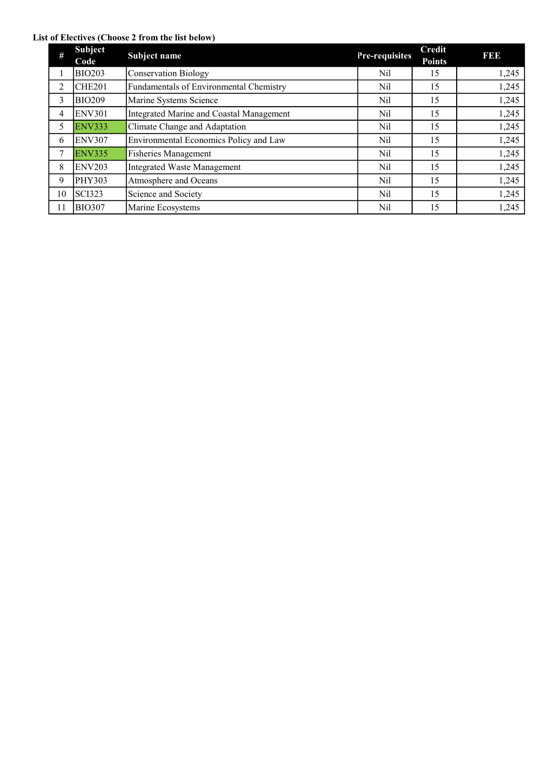#### List of Electives (Choose 2 from the list below)

| $\#$ | <b>Subject</b><br>Code | Subject name                             | Pre-requisites | Credit<br><b>Points</b> | <b>BBB</b> |
|------|------------------------|------------------------------------------|----------------|-------------------------|------------|
|      | <b>BIO203</b>          | <b>Conservation Biology</b>              | Nil            | 15                      | 1,245      |
| 2    | CHE <sub>201</sub>     | Fundamentals of Environmental Chemistry  | Nil            | 15                      | 1,245      |
| 3    | <b>BIO209</b>          | Marine Systems Science                   | Nil            | 15                      | 1,245      |
| 4    | <b>ENV301</b>          | Integrated Marine and Coastal Management | Nil            | 15                      | 1,245      |
| 5    | <b>ENV333</b>          | Climate Change and Adaptation            | Nil            | 15                      | 1,245      |
| 6    | <b>ENV307</b>          | Environmental Economics Policy and Law   | Nil            | 15                      | 1,245      |
| 7    | <b>ENV335</b>          | <b>Fisheries Management</b>              | Nil            | 15                      | 1,245      |
| 8    | <b>ENV203</b>          | <b>Integrated Waste Management</b>       | Nil            | 15                      | 1,245      |
| 9    | <b>PHY303</b>          | Atmosphere and Oceans                    | Nil            | 15                      | 1,245      |
| 10   | <b>SCI323</b>          | Science and Society                      | Nil            | 15                      | 1,245      |
| 11   | <b>BIO307</b>          | Marine Ecosystems                        | Nil            | 15                      | 1,245      |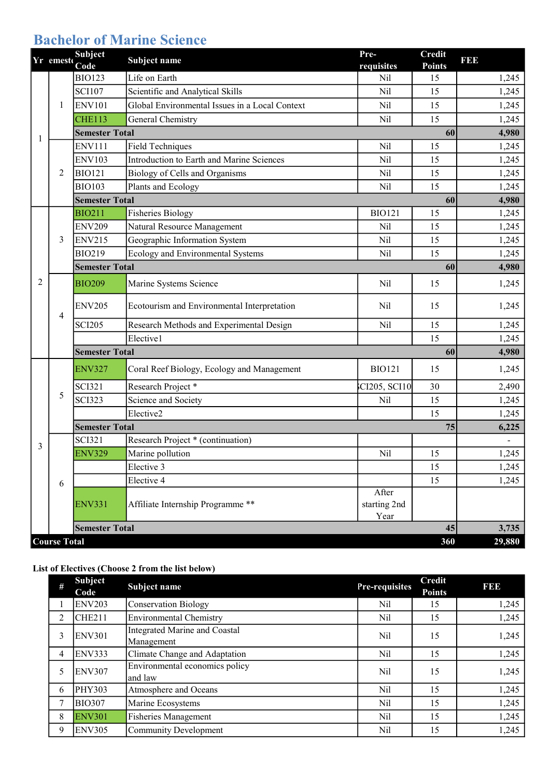## Bachelor of Marine Science

|   | Yr emest            | <b>Subject</b><br>Code | Subject name                                   | Pre-<br>requisites            | <b>Credit</b><br><b>Points</b> | <b>BBB</b> |
|---|---------------------|------------------------|------------------------------------------------|-------------------------------|--------------------------------|------------|
|   |                     | <b>BIO123</b>          | Life on Earth                                  | Nil                           | 15                             | 1,245      |
|   |                     | <b>SCI107</b>          | Scientific and Analytical Skills               | Nil                           | 15                             | 1,245      |
|   | 1                   | <b>ENV101</b>          | Global Environmental Issues in a Local Context | Nil                           | 15                             | 1,245      |
|   |                     | <b>CHE113</b>          | General Chemistry                              | Nil                           | 15                             | 1,245      |
| 1 |                     | <b>Semester Total</b>  |                                                |                               | 60                             | 4,980      |
|   |                     | <b>ENV111</b>          | <b>Field Techniques</b>                        | Nil                           | 15                             | 1,245      |
|   |                     | <b>ENV103</b>          | Introduction to Earth and Marine Sciences      | Nil                           | 15                             | 1,245      |
|   | $\overline{2}$      | <b>BIO121</b>          | Biology of Cells and Organisms                 | Nil                           | 15                             | 1,245      |
|   |                     | <b>BIO103</b>          | Plants and Ecology                             | Nil                           | 15                             | 1,245      |
|   |                     | <b>Semester Total</b>  |                                                |                               | 60                             | 4,980      |
|   |                     | <b>BIO211</b>          | <b>Fisheries Biology</b>                       | <b>BIO121</b>                 | 15                             | 1,245      |
|   |                     | <b>ENV209</b>          | Natural Resource Management                    | Nil                           | 15                             | 1,245      |
|   | 3                   | <b>ENV215</b>          | Geographic Information System                  | Nil                           | 15                             | 1,245      |
|   |                     | <b>BIO219</b>          | Ecology and Environmental Systems              | Nil                           | 15                             | 1,245      |
|   |                     | <b>Semester Total</b>  |                                                |                               | 60                             | 4,980      |
| 2 | 4                   | <b>BIO209</b>          | Marine Systems Science                         | Nil                           | 15                             | 1,245      |
|   |                     | <b>ENV205</b>          | Ecotourism and Environmental Interpretation    | Nil                           | 15                             | 1,245      |
|   |                     | <b>SCI205</b>          | Research Methods and Experimental Design       | Nil                           | 15                             | 1,245      |
|   |                     |                        | Elective1                                      |                               | 15                             | 1,245      |
|   |                     | <b>Semester Total</b>  |                                                |                               | 60                             | 4,980      |
|   |                     | <b>ENV327</b>          | Coral Reef Biology, Ecology and Management     | <b>BIO121</b>                 | 15                             | 1,245      |
|   |                     | <b>SCI321</b>          | Research Project*                              | CI205, SCI10                  | 30                             | 2,490      |
|   | 5                   | <b>SCI323</b>          | Science and Society                            | Nil                           | 15                             | 1,245      |
|   |                     |                        | Elective2                                      |                               | 15                             | 1,245      |
|   |                     | <b>Semester Total</b>  |                                                |                               | 75                             | 6,225      |
| 3 |                     | <b>SCI321</b>          | Research Project * (continuation)              |                               |                                |            |
|   |                     | <b>ENV329</b>          | Marine pollution                               | Nil                           | 15                             | 1,245      |
|   |                     |                        | Elective 3                                     |                               | 15                             | 1,245      |
|   | 6                   |                        | Elective 4                                     |                               | 15                             | 1,245      |
|   |                     | <b>ENV331</b>          | Affiliate Internship Programme **              | After<br>starting 2nd<br>Year |                                |            |
|   |                     | <b>Semester Total</b>  |                                                |                               | 45                             | 3,735      |
|   | <b>Course Total</b> |                        |                                                |                               | 360                            | 29,880     |

#### List of Electives (Choose 2 from the list below)

| # | <b>Subject</b><br>Code | Subject name                                | Pre-requisites | <b>Credit</b><br><b>Points</b> | <b>BBB</b> |
|---|------------------------|---------------------------------------------|----------------|--------------------------------|------------|
|   | <b>ENV203</b>          | Conservation Biology                        | Nil            | 15                             | 1,245      |
| 2 | <b>CHE211</b>          | Environmental Chemistry                     | Nil            | 15                             | 1,245      |
| 3 | <b>ENV301</b>          | Integrated Marine and Coastal<br>Management | Nil            | 15                             | 1,245      |
| 4 | <b>ENV333</b>          | Climate Change and Adaptation               | Nil            | 15                             | 1,245      |
|   | <b>ENV307</b>          | Environmental economics policy<br>and law   | Nil            | 15                             | 1,245      |
| 6 | <b>PHY303</b>          | Atmosphere and Oceans                       | Nil            | 15                             | 1,245      |
|   | <b>BIO307</b>          | Marine Ecosystems                           | Nil            | 15                             | 1,245      |
| 8 | <b>ENV301</b>          | Fisheries Management                        | Nil            | 15                             | 1,245      |
| 9 | <b>ENV305</b>          | Community Development                       | Nil            | 15                             | 1,245      |